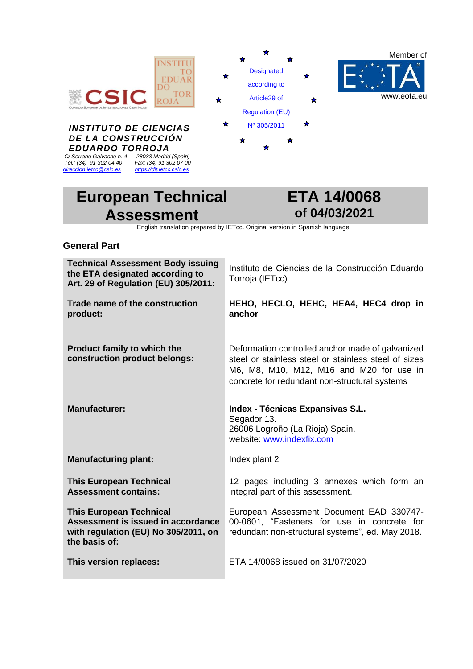

# **European Technical Assessment**



English translation prepared by IETcc. Original version in Spanish language

# **General Part**

| <b>Technical Assessment Body issuing</b><br>the ETA designated according to<br>Art. 29 of Regulation (EU) 305/2011:           | Instituto de Ciencias de la Construcción Eduardo<br>Torroja (IETcc)                                                                                                                                   |
|-------------------------------------------------------------------------------------------------------------------------------|-------------------------------------------------------------------------------------------------------------------------------------------------------------------------------------------------------|
| Trade name of the construction<br>product:                                                                                    | HEHO, HECLO, HEHC, HEA4, HEC4 drop in<br>anchor                                                                                                                                                       |
| <b>Product family to which the</b><br>construction product belongs:                                                           | Deformation controlled anchor made of galvanized<br>steel or stainless steel or stainless steel of sizes<br>M6, M8, M10, M12, M16 and M20 for use in<br>concrete for redundant non-structural systems |
| <b>Manufacturer:</b>                                                                                                          | Index - Técnicas Expansivas S.L.<br>Segador 13.<br>26006 Logroño (La Rioja) Spain.<br>website: www.indexfix.com                                                                                       |
| <b>Manufacturing plant:</b>                                                                                                   | Index plant 2                                                                                                                                                                                         |
| <b>This European Technical</b><br><b>Assessment contains:</b>                                                                 | 12 pages including 3 annexes which form an<br>integral part of this assessment.                                                                                                                       |
| <b>This European Technical</b><br>Assessment is issued in accordance<br>with regulation (EU) No 305/2011, on<br>the basis of: | European Assessment Document EAD 330747-<br>00-0601, "Fasteners for use in concrete for<br>redundant non-structural systems", ed. May 2018.                                                           |
| This version replaces:                                                                                                        | ETA 14/0068 issued on 31/07/2020                                                                                                                                                                      |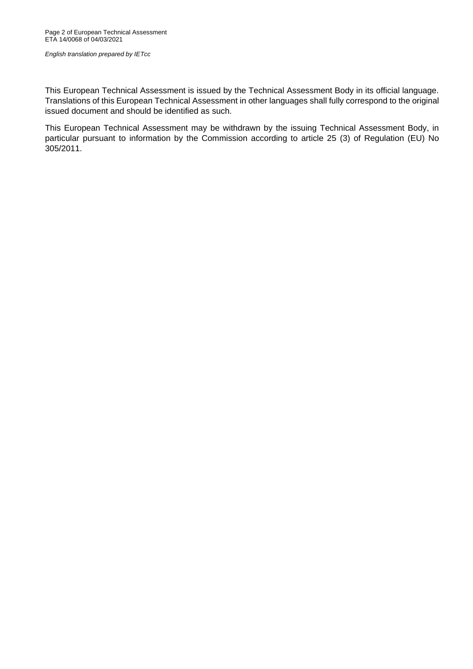This European Technical Assessment is issued by the Technical Assessment Body in its official language. Translations of this European Technical Assessment in other languages shall fully correspond to the original issued document and should be identified as such.

This European Technical Assessment may be withdrawn by the issuing Technical Assessment Body, in particular pursuant to information by the Commission according to article 25 (3) of Regulation (EU) No 305/2011.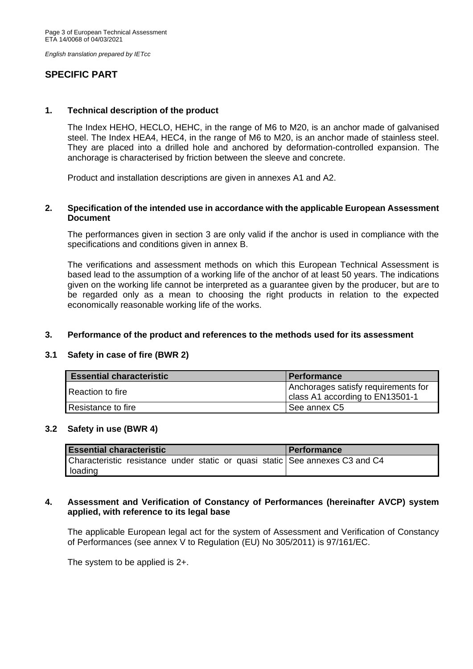# **SPECIFIC PART**

#### **1. Technical description of the product**

The Index HEHO, HECLO, HEHC, in the range of M6 to M20, is an anchor made of galvanised steel. The Index HEA4, HEC4, in the range of M6 to M20, is an anchor made of stainless steel. They are placed into a drilled hole and anchored by deformation-controlled expansion. The anchorage is characterised by friction between the sleeve and concrete.

Product and installation descriptions are given in annexes A1 and A2.

## **2. Specification of the intended use in accordance with the applicable European Assessment Document**

The performances given in section 3 are only valid if the anchor is used in compliance with the specifications and conditions given in annex B.

The verifications and assessment methods on which this European Technical Assessment is based lead to the assumption of a working life of the anchor of at least 50 years. The indications given on the working life cannot be interpreted as a guarantee given by the producer, but are to be regarded only as a mean to choosing the right products in relation to the expected economically reasonable working life of the works.

#### **3. Performance of the product and references to the methods used for its assessment**

# **3.1 Safety in case of fire (BWR 2)**

| <b>Essential characteristic</b> | l Performance                                                          |  |  |  |  |
|---------------------------------|------------------------------------------------------------------------|--|--|--|--|
| <b>Reaction to fire</b>         | Anchorages satisfy requirements for<br>class A1 according to EN13501-1 |  |  |  |  |
| Resistance to fire              | See annex C5                                                           |  |  |  |  |

#### **3.2 Safety in use (BWR 4)**

| <b>Essential characteristic</b> |  |  |  |  |  | <b>I</b> Performance |                                                                              |
|---------------------------------|--|--|--|--|--|----------------------|------------------------------------------------------------------------------|
|                                 |  |  |  |  |  |                      | Characteristic resistance under static or quasi static See annexes C3 and C4 |
| loading                         |  |  |  |  |  |                      |                                                                              |

#### **4. Assessment and Verification of Constancy of Performances (hereinafter AVCP) system applied, with reference to its legal base**

The applicable European legal act for the system of Assessment and Verification of Constancy of Performances (see annex V to Regulation (EU) No 305/2011) is 97/161/EC.

The system to be applied is 2+.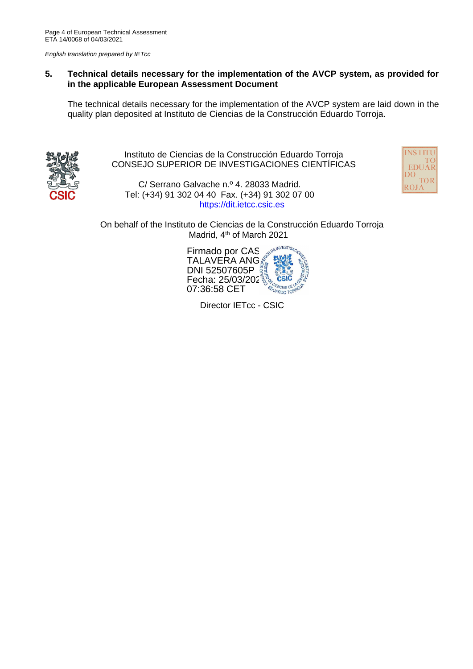# **5. Technical details necessary for the implementation of the AVCP system, as provided for in the applicable European Assessment Document**

The technical details necessary for the implementation of the AVCP system are laid down in the quality plan deposited at Instituto de Ciencias de la Construcción Eduardo Torroja.



Instituto de Ciencias de la Construcción Eduardo Torroja CONSEJO SUPERIOR DE INVESTIGACIONES CIENTÍFICAS

C/ Serrano Galvache n.º 4. 28033 Madrid. Tel: (+34) 91 302 04 40 Fax. (+34) 91 302 07 00 [https://dit.ietcc.csic.es](https://dit.ietcc.csic.es/)



On behalf of the Instituto de Ciencias de la Construcción Eduardo Torroja Madrid, 4<sup>th</sup> of March 2021



Director IETcc - CSIC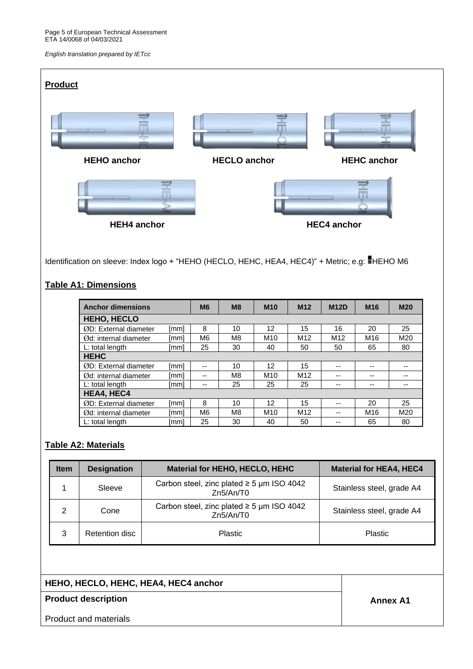| <b>Product</b>                                                                                                                                                                                                                                                                                                                                                                  |                                                                                                 |                    |
|---------------------------------------------------------------------------------------------------------------------------------------------------------------------------------------------------------------------------------------------------------------------------------------------------------------------------------------------------------------------------------|-------------------------------------------------------------------------------------------------|--------------------|
| $\begin{picture}(20,5) \put(0,0) {\line(1,0){10}} \put(15,0) {\line(1,0){10}} \put(15,0) {\line(1,0){10}} \put(15,0) {\line(1,0){10}} \put(15,0) {\line(1,0){10}} \put(15,0) {\line(1,0){10}} \put(15,0) {\line(1,0){10}} \put(15,0) {\line(1,0){10}} \put(15,0) {\line(1,0){10}} \put(15,0) {\line(1,0){10}} \put(15,0) {\line(1,0){10}} \put(15,0) {\line(1,$<br>UU<br>$\neg$ | $\begin{tabular}{c} \hline \quad m\\ \hline \quad m\\ \quad m\\ \hline \end{tabular}$<br>$\Box$ | 豐                  |
| <b>HEHO</b> anchor                                                                                                                                                                                                                                                                                                                                                              | <b>HECLO</b> anchor                                                                             | <b>HEHC</b> anchor |
| meg                                                                                                                                                                                                                                                                                                                                                                             |                                                                                                 | GLUD               |
| <b>HEH4</b> anchor                                                                                                                                                                                                                                                                                                                                                              |                                                                                                 | <b>HEC4</b> anchor |

Identification on sleeve: Index logo + "HEHO (HECLO, HEHC, HEA4, HEC4)" + Metric; e.g: HEHO M6

# **Table A1: Dimensions**

| <b>Anchor dimensions</b>         |      | M <sub>6</sub>           | M <sub>8</sub> | <b>M10</b>      | M <sub>12</sub> | <b>M12D</b>     | M <sub>16</sub> | <b>M20</b> |  |  |
|----------------------------------|------|--------------------------|----------------|-----------------|-----------------|-----------------|-----------------|------------|--|--|
| <b>HEHO, HECLO</b>               |      |                          |                |                 |                 |                 |                 |            |  |  |
| ØD: External diameter            | [mm] | 8                        | 10             | 12              | 15              | 16              | 20              | 25         |  |  |
| $\emptyset$ d: internal diameter | [mm] | M <sub>6</sub>           | M8             | M <sub>10</sub> | M <sub>12</sub> | M <sub>12</sub> | M16             | M20        |  |  |
| L: total length                  | [mm] | 25                       | 30             | 40              | 50              | 50              | 65              | 80         |  |  |
| <b>HEHC</b>                      |      |                          |                |                 |                 |                 |                 |            |  |  |
| ØD: External diameter            | [mm] | $-$                      | 10             | 12              | 15              | --              | --              |            |  |  |
| $\emptyset$ d: internal diameter | [mm] | $\overline{\phantom{a}}$ | M8             | M <sub>10</sub> | M <sub>12</sub> | --              |                 |            |  |  |
| L: total length                  | [mm] | --                       | 25             | 25              | 25              | --              | --              |            |  |  |
| <b>HEA4, HEC4</b>                |      |                          |                |                 |                 |                 |                 |            |  |  |
| ØD: External diameter            | [mm] | 8                        | 10             | 12              | 15              | --              | 20              | 25         |  |  |
| $\emptyset$ d: internal diameter | [mm] | M <sub>6</sub>           | M <sub>8</sub> | M <sub>10</sub> | M <sub>12</sub> | --              | M <sub>16</sub> | M20        |  |  |
| L: total length                  | [mm] | 25                       | 30             | 40              | 50              | --              | 65              | 80         |  |  |

# **Table A2: Materials**

| <b>Item</b> | <b>Designation</b> | Material for HEHO, HECLO, HEHC                              | <b>Material for HEA4, HEC4</b> |
|-------------|--------------------|-------------------------------------------------------------|--------------------------------|
|             | Sleeve             | Carbon steel, zinc plated $\geq$ 5 µm ISO 4042<br>Zn5/An/T0 | Stainless steel, grade A4      |
| ົ           | Cone               | Carbon steel, zinc plated $\geq$ 5 µm ISO 4042<br>Zn5/An/T0 | Stainless steel, grade A4      |
| 3           | Retention disc     | <b>Plastic</b>                                              | <b>Plastic</b>                 |

# **HEHO, HECLO, HEHC, HEA4, HEC4 anchor**

# **Product description Annex A1**

Product and materials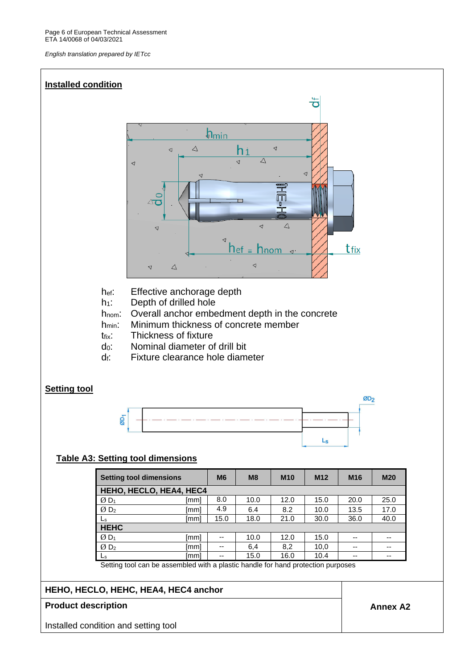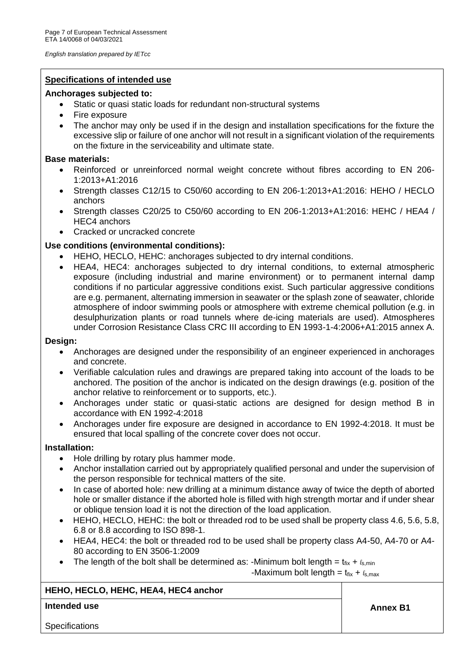## **Specifications of intended use**

## **Anchorages subjected to:**

- Static or quasi static loads for redundant non-structural systems
- Fire exposure
- The anchor may only be used if in the design and installation specifications for the fixture the excessive slip or failure of one anchor will not result in a significant violation of the requirements on the fixture in the serviceability and ultimate state.

## **Base materials:**

- Reinforced or unreinforced normal weight concrete without fibres according to EN 206- 1:2013+A1:2016
- Strength classes C12/15 to C50/60 according to EN 206-1:2013+A1:2016: HEHO / HECLO anchors
- Strength classes C20/25 to C50/60 according to EN 206-1:2013+A1:2016: HEHC / HEA4 / HEC4 anchors
- Cracked or uncracked concrete

# **Use conditions (environmental conditions):**

- HEHO, HECLO, HEHC: anchorages subjected to dry internal conditions.
- HEA4, HEC4: anchorages subjected to dry internal conditions, to external atmospheric exposure (including industrial and marine environment) or to permanent internal damp conditions if no particular aggressive conditions exist. Such particular aggressive conditions are e.g. permanent, alternating immersion in seawater or the splash zone of seawater, chloride atmosphere of indoor swimming pools or atmosphere with extreme chemical pollution (e.g. in desulphurization plants or road tunnels where de-icing materials are used). Atmospheres under Corrosion Resistance Class CRC III according to EN 1993-1-4:2006+A1:2015 annex A.

#### **Design:**

- Anchorages are designed under the responsibility of an engineer experienced in anchorages and concrete.
- Verifiable calculation rules and drawings are prepared taking into account of the loads to be anchored. The position of the anchor is indicated on the design drawings (e.g. position of the anchor relative to reinforcement or to supports, etc.).
- Anchorages under static or quasi-static actions are designed for design method B in accordance with EN 1992-4:2018
- Anchorages under fire exposure are designed in accordance to EN 1992-4:2018. It must be ensured that local spalling of the concrete cover does not occur.

#### **Installation:**

- Hole drilling by rotary plus hammer mode.
- Anchor installation carried out by appropriately qualified personal and under the supervision of the person responsible for technical matters of the site.
- In case of aborted hole: new drilling at a minimum distance away of twice the depth of aborted hole or smaller distance if the aborted hole is filled with high strength mortar and if under shear or oblique tension load it is not the direction of the load application.
- HEHO, HECLO, HEHC: the bolt or threaded rod to be used shall be property class 4.6, 5.6, 5.8, 6.8 or 8.8 according to ISO 898-1.
- HEA4, HEC4: the bolt or threaded rod to be used shall be property class A4-50, A4-70 or A4- 80 according to EN 3506-1:2009
- The length of the bolt shall be determined as: -Minimum bolt length =  $t_{fix} + \ell_{s,min}$

-Maximum bolt length =  $t_{fix} + \ell_{s,max}$ 

# **HEHO, HECLO, HEHC, HEA4, HEC4 anchor**

# **Intended use Annex B1**

**Specifications**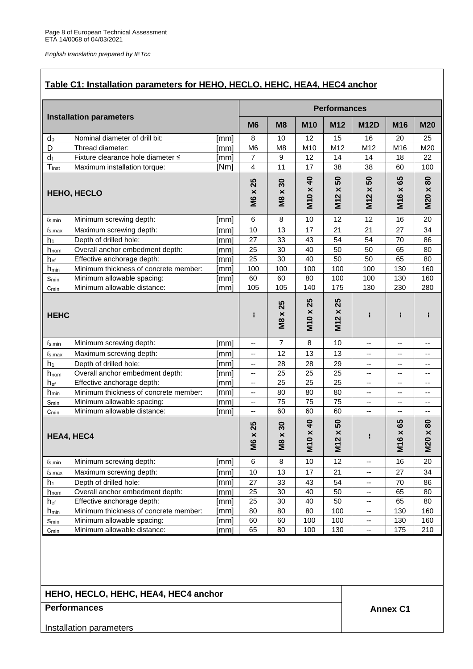# **Table C1: Installation parameters for HEHO, HECLO, HEHC, HEA4, HEC4 anchor**

|                                  |                                       |      |                   |                                   |                 | <b>Performances</b>                            |                                    |                                         |                 |
|----------------------------------|---------------------------------------|------|-------------------|-----------------------------------|-----------------|------------------------------------------------|------------------------------------|-----------------------------------------|-----------------|
|                                  | <b>Installation parameters</b>        |      | M <sub>6</sub>    | M <sub>8</sub>                    | <b>M10</b>      | M12                                            | <b>M12D</b>                        | M16                                     | <b>M20</b>      |
| do                               | Nominal diameter of drill bit:        | [mm] | 8                 | 10                                | 12              | 15                                             | 16                                 | 20                                      | 25              |
| D                                | Thread diameter:                      | [mm] | M <sub>6</sub>    | M <sub>8</sub>                    | M10             | M12                                            | M12                                | M16                                     | M20             |
| $d_f$                            | Fixture clearance hole diameter ≤     | [mm] | $\overline{7}$    | 9                                 | 12              | 14                                             | 14                                 | 18                                      | 22              |
| Tinst                            | Maximum installation torque:          | [Nm] | 4                 | 11                                | 17              | 38                                             | 38                                 | 60                                      | 100             |
| <b>HEHO, HECLO</b>               |                                       |      | 25<br><b>M6 x</b> | 30<br>$\pmb{\times}$<br><b>M8</b> | M10 x 40        | 50<br>$\pmb{\times}$<br>M <sub>12</sub>        | 50<br>$\pmb{\times}$<br><b>M12</b> | 65<br>$\pmb{\times}$<br>M <sub>16</sub> | M20 x 80        |
| $\ell \text{s,min}$              | Minimum screwing depth:               | [mm] | 6                 | 8                                 | 10              | 12                                             | 12                                 | 16                                      | 20              |
| $\ell$ s, max                    | Maximum screwing depth:               | [mm] | 10                | 13                                | 17              | 21                                             | 21                                 | 27                                      | 34              |
| h <sub>1</sub>                   | Depth of drilled hole:                | [mm] | 27                | 33                                | 43              | 54                                             | 54                                 | 70                                      | 86              |
| h <sub>nom</sub>                 | Overall anchor embedment depth:       | [mm] | 25                | 30                                | 40              | 50                                             | 50                                 | 65                                      | 80              |
| hef                              | Effective anchorage depth:            | [mm] | 25                | 30                                | 40              | 50                                             | 50                                 | 65                                      | 80              |
| h <sub>min</sub>                 | Minimum thickness of concrete member: | [mm] | 100               | 100                               | 100             | 100                                            | 100                                | 130                                     | 160             |
| Smin                             | Minimum allowable spacing:            | [mm] | 60                | 60                                | 80              | 100                                            | 100                                | 130                                     | 160             |
| Cmin                             | Minimum allowable distance:           | [mm] | 105               | 105                               | 140             | 175                                            | 130                                | 230                                     | 280             |
| <b>HEHC</b>                      |                                       |      | H                 | 25<br><b>M8</b> x                 | 25<br>M10 x     | 25<br>$\pmb{\times}$<br>$\mathbf{\Omega}$<br>Ξ | H                                  | Н                                       |                 |
| $\ell$ s, min                    | Minimum screwing depth:               | [mm] | ۰.                | $\overline{7}$                    | 8               | 10                                             | --                                 | --                                      | --              |
| $\ell$ s, max                    | Maximum screwing depth:               | [mm] | --                | 12                                | 13              | 13                                             | $\overline{\phantom{a}}$           | --                                      | ۰.              |
| h <sub>1</sub>                   | Depth of drilled hole:                | [mm] | --                | 28                                | 28              | 29                                             | --                                 | --                                      | $-$             |
| hnom                             | Overall anchor embedment depth:       | [mm] | --                | 25                                | 25              | 25                                             | --                                 | --                                      | --              |
| hef                              | Effective anchorage depth:            | [mm] | --                | 25                                | 25              | 25                                             | --                                 | --                                      | $-$             |
| $h_{min}$                        | Minimum thickness of concrete member: | [mm] | --                | 80                                | 80              | 80                                             | --                                 | --                                      | --              |
| Smin                             | Minimum allowable spacing:            | [mm] | --                | 75                                | 75              | 75                                             | --                                 | --                                      | $-$             |
| Cmin                             | Minimum allowable distance:           | [mm] | --                | 60                                | 60              | 60                                             | --                                 | --                                      | ۰.              |
| <b>HEA4, HEC4</b>                |                                       |      | 25<br><b>M6 x</b> | 30<br>$\times$<br>8M              | <b>M10 x 40</b> | 50<br>M12x                                     |                                    | 65<br><b>M16 x</b>                      | $M20 \times 80$ |
| $\ell$ s, min                    | Minimum screwing depth:               | [mm] | 6                 | 8                                 | 10              | 12                                             | ۰.                                 | 16                                      | 20              |
| $\ell_{\textrm{S},\textrm{max}}$ | Maximum screwing depth:               | [mm] | 10                | 13                                | 17              | 21                                             | --                                 | 27                                      | 34              |
| h <sub>1</sub>                   | Depth of drilled hole:                | [mm] | 27                | 33                                | 43              | 54                                             | $\overline{\phantom{a}}$           | 70                                      | 86              |
| hnom                             | Overall anchor embedment depth:       | [mm] | 25                | 30                                | 40              | 50                                             | $\overline{\phantom{a}}$           | 65                                      | 80              |
| hef                              | Effective anchorage depth:            | [mm] | 25                | 30                                | 40              | 50                                             | $\overline{\phantom{a}}$           | 65                                      | 80              |
| h <sub>min</sub>                 | Minimum thickness of concrete member: | [mm] | 80                | 80                                | 80              | 100                                            | $\overline{\phantom{a}}$           | 130                                     | 160             |
| Smin                             | Minimum allowable spacing:            | [mm] | 60                | 60                                | 100             | 100                                            | --                                 | 130                                     | 160             |
| $C_{min}$                        | Minimum allowable distance:           | [mm] | 65                | 80                                | 100             | 130                                            | $\overline{\phantom{a}}$           | 175                                     | 210             |

| HEHO, HECLO, HEHC, HEA4, HEC4 anchor |  |  |
|--------------------------------------|--|--|
|--------------------------------------|--|--|

# **Performances Annex C1**

Installation parameters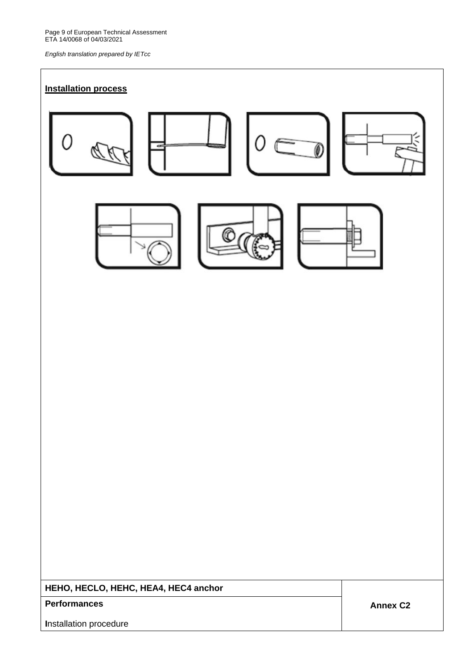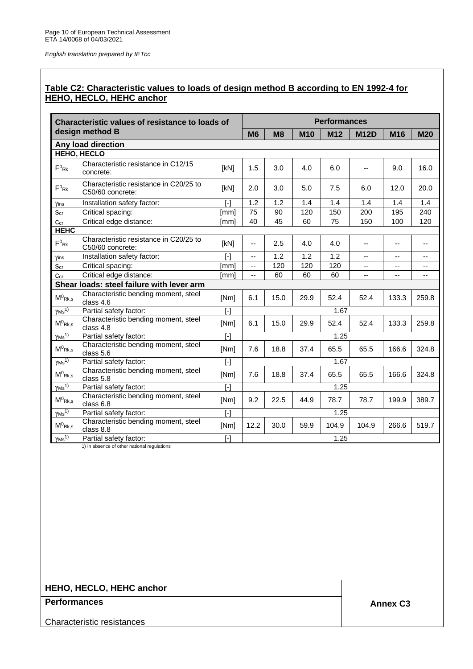# **Table C2: Characteristic values to loads of design method B according to EN 1992-4 for HEHO, HECLO, HEHC anchor**

|                                           | <b>Characteristic values of resistance to loads of</b>     |                   |           |      |            | <b>Performances</b> |             |       |            |
|-------------------------------------------|------------------------------------------------------------|-------------------|-----------|------|------------|---------------------|-------------|-------|------------|
|                                           | design method B                                            |                   | <b>M6</b> | M8   | <b>M10</b> | M12                 | <b>M12D</b> | M16   | <b>M20</b> |
|                                           | Any load direction                                         |                   |           |      |            |                     |             |       |            |
|                                           | <b>HEHO, HECLO</b>                                         |                   |           |      |            |                     |             |       |            |
| $F^0$ <sub>Rk</sub>                       | Characteristic resistance in C12/15<br>concrete:           | [kN]              | 1.5       | 3.0  | 4.0        | 6.0                 | $-$         | 9.0   | 16.0       |
| $F^0$ <sub>Rk</sub>                       | Characteristic resistance in C20/25 to<br>C50/60 concrete: | [kN]              | 2.0       | 3.0  | 5.0        | 7.5                 | 6.0         | 12.0  | 20.0       |
| Yins                                      | Installation safety factor:                                | $\lceil - \rceil$ | 1.2       | 1.2  | 1.4        | 1.4                 | 1.4         | 1.4   | 1.4        |
| $S_{cr}$                                  | Critical spacing:                                          | [mm]              | 75        | 90   | 120        | 150                 | 200         | 195   | 240        |
| $C_{cr}$                                  | Critical edge distance:                                    | [mm]              | 40        | 45   | 60         | 75                  | 150         | 100   | 120        |
| <b>HEHC</b>                               |                                                            |                   |           |      |            |                     |             |       |            |
| $F^0$ <sub>Rk</sub>                       | Characteristic resistance in C20/25 to<br>C50/60 concrete: | [kN]              | $-$       | 2.5  | 4.0        | 4.0                 | $-$         | --    | --         |
| Yins                                      | Installation safety factor:                                | $[ - ]$           | --        | 1.2  | 1.2        | 1.2                 | $-$         | --    | --         |
| Scr                                       | Critical spacing:                                          | [mm]              | $-$       | 120  | 120        | 120                 | --          | --    | --         |
| $C_{cr}$                                  | Critical edge distance:                                    | [mm]              | --        | 60   | 60         | 60                  | --          | ۵.    |            |
|                                           | Shear loads: steel failure with lever arm                  |                   |           |      |            |                     |             |       |            |
| $\mathsf{M}^0$ Rk, s                      | Characteristic bending moment, steel<br>class 4.6          | [Nm]              | 6.1       | 15.0 | 29.9       | 52.4                | 52.4        | 133.3 | 259.8      |
| $\overline{\gamma Ms}^{1)}$               | Partial safety factor:                                     | $\lceil - \rceil$ |           |      |            | 1.67                |             |       |            |
| $M^0$ Rk,s                                | Characteristic bending moment, steel<br>class 4.8          | [Nm]              | 6.1       | 15.0 | 29.9       | 52.4                | 52.4        | 133.3 | 259.8      |
| $\gamma$ <sub>Ms</sub> <sup>1)</sup>      | Partial safety factor:                                     | $\lceil - \rceil$ |           |      |            | 1.25                |             |       |            |
| $M^0$ Rk,s                                | Characteristic bending moment, steel<br>class 5.6          | [Nm]              | 7.6       | 18.8 | 37.4       | 65.5                | 65.5        | 166.6 | 324.8      |
| $\sqrt{Ms^{1}}$                           | Partial safety factor:                                     | $\overline{1}$    |           |      |            | 1.67                |             |       |            |
| $\mathsf{M}^0$ Rk, s                      | Characteristic bending moment, steel<br>class 5.8          | [Nm]              | 7.6       | 18.8 | 37.4       | 65.5                | 65.5        | 166.6 | 324.8      |
| $\gamma$ <sub>Ms</sub> <sup>1)</sup>      | Partial safety factor:                                     | $\lceil - \rceil$ | 1.25      |      |            |                     |             |       |            |
| $\mathsf{M}^0{}_{\mathsf{Rk},\mathsf{s}}$ | Characteristic bending moment, steel<br>class 6.8          | [Nm]              | 9.2       | 22.5 | 44.9       | 78.7                | 78.7        | 199.9 | 389.7      |
| $\gamma$ <sub>Ms</sub> <sup>1)</sup>      | Partial safety factor:                                     | $\lceil - \rceil$ |           |      |            | 1.25                |             |       |            |
| $\mathsf{M}^0$ Rk, s                      | Characteristic bending moment, steel<br>class 8.8          | [Nm]              | 12.2      | 30.0 | 59.9       | 104.9               | 104.9       | 266.6 | 519.7      |
| $\gamma$ <sub>Ms</sub> <sup>1)</sup>      | Partial safety factor:                                     | $[\cdot]$         |           |      |            | 1.25                |             |       |            |

1) In absence of other national regulations

# **HEHO, HECLO, HEHC anchor**

# **Performances Annex C3**

Characteristic resistances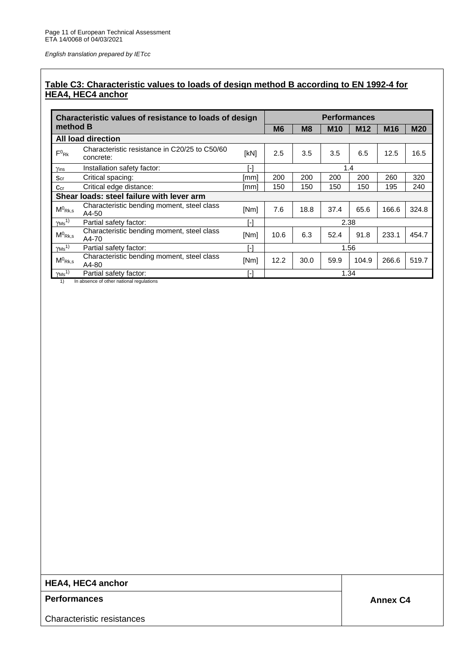# **Table C3: Characteristic values to loads of design method B according to EN 1992-4 for HEA4, HEC4 anchor**

|                           | Characteristic values of resistance to loads of design     |      | <b>Performances</b> |                |            |       |                 |            |  |
|---------------------------|------------------------------------------------------------|------|---------------------|----------------|------------|-------|-----------------|------------|--|
| method B                  |                                                            |      | <b>M6</b>           | M <sub>8</sub> | <b>M10</b> | M12   | M <sub>16</sub> | <b>M20</b> |  |
|                           | All load direction                                         |      |                     |                |            |       |                 |            |  |
| $F^0_{\mathsf{Rk}}$       | Characteristic resistance in C20/25 to C50/60<br>concrete: | [kN] | 2.5                 | 3.5            | 3.5        | 6.5   | 12.5            | 16.5       |  |
| Yins                      | Installation safety factor:                                | r-1  |                     |                |            | 1.4   |                 |            |  |
| $S_{cr}$                  | Critical spacing:                                          | [mm] | 200                 | 200            | 200        | 200   | 260             | 320        |  |
| $\mathtt{Ccr}$            | Critical edge distance:                                    | [mm] | 150                 | 150            | 150        | 150   | 195             | 240        |  |
|                           | Shear loads: steel failure with lever arm                  |      |                     |                |            |       |                 |            |  |
| $M^0$ <sub>Rk,s</sub>     | Characteristic bending moment, steel class<br>A4-50        | [Nm] | 7.6                 | 18.8           | 37.4       | 65.6  | 166.6           | 324.8      |  |
| $\gamma$ Ms <sup>1)</sup> | Partial safety factor:                                     | [-]  |                     |                |            | 2.38  |                 |            |  |
| $M^0$ <sub>Rk,s</sub>     | Characteristic bending moment, steel class<br>A4-70        | [Nm] | 10.6                | 6.3            | 52.4       | 91.8  | 233.1           | 454.7      |  |
| $\gamma$ Ms <sup>1)</sup> | Partial safety factor:                                     | r-1  | 1.56                |                |            |       |                 |            |  |
| $M^0$ <sub>Rk.s</sub>     | Characteristic bending moment, steel class<br>A4-80        | [Nm] | 12.2                | 30.0           | 59.9       | 104.9 | 266.6           | 519.7      |  |
| $\gamma$ Ms <sup>1)</sup> | Partial safety factor:                                     | -1   |                     |                |            | 1.34  |                 |            |  |

1) In absence of other national regulations

# **HEA4, HEC4 anchor**

# **Performances Annex C4**

Characteristic resistances